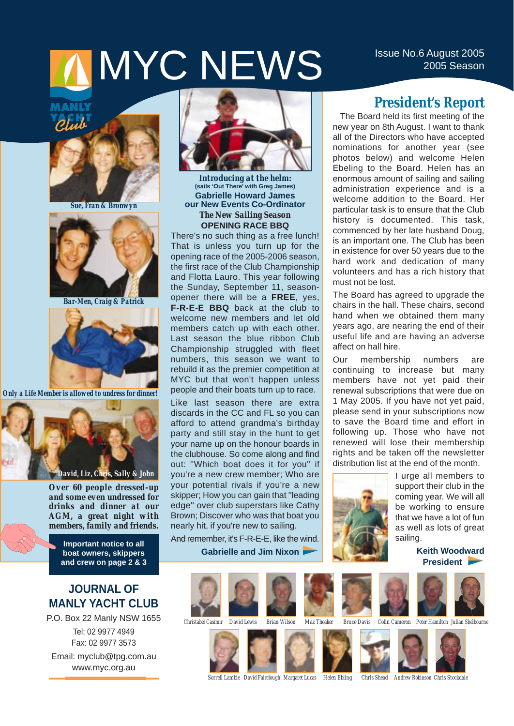# MYC NEWS ISSUE NO.6 August 2005

## Plub



*Sue, Fran & Bronwyn*



*Bar-Men, Craig & Patrick* 



*Only a Life Member is allowed to undress for dinner!*



*Over 60 people dressed-up and some even undressed for drinks and dinner at our AGM, a great night with members, family and friends.*

**Important notice to all boat owners, skippers and crew on page 2 & 3**

### **JOURNAL OF MANLY YACHT CLUB**

P.O. Box 22 Manly NSW 1655 Tel: 02 9977 4949 Fax: 02 9977 3573 Email: myclub@tpg.com.au www.myc.org.au



*Introducing at the helm:*  **(sails 'Out There' with Greg James) Gabrielle Howard James our New Events Co-Ordinator** *The New Sailing Season* **OPENING RACE BBQ**

There's no such thing as a free lunch! That is unless you turn up for the opening race of the 2005-2006 season, the first race of the Club Championship and Flotta Lauro. This year following the Sunday, September 11, seasonopener there will be a **FREE**, yes, **F-R-E-E BBQ** back at the club to welcome new members and let old members catch up with each other. Last season the blue ribbon Club Championship struggled with fleet numbers, this season we want to rebuild it as the premier competition at MYC but that won't happen unless people and their boats turn up to race.

Like last season there are extra discards in the CC and FL so you can afford to attend grandma's birthday party and still stay in the hunt to get your name up on the honour boards in the clubhouse. So come along and find out: ''Which boat does it for you'' if you're a new crew member; Who are your potential rivals if you're a new skipper; How you can gain that ''leading edge'' over club superstars like Cathy Brown; Discover who was that boat you nearly hit, if you're new to sailing.

And remember, it's F-R-E-E, like the wind.

**Gabrielle and Jim Nixon**

### **President's Report**

The Board held its first meeting of the new year on 8th August. I want to thank all of the Directors who have accepted nominations for another year (see photos below) and welcome Helen Ebeling to the Board. Helen has an enormous amount of sailing and sailing administration experience and is a welcome addition to the Board. Her particular task is to ensure that the Club history is documented. This task, commenced by her late husband Doug, is an important one. The Club has been in existence for over 50 years due to the hard work and dedication of many volunteers and has a rich history that must not be lost.

The Board has agreed to upgrade the chairs in the hall. These chairs, second hand when we obtained them many years ago, are nearing the end of their useful life and are having an adverse affect on hall hire.

Our membership numbers are continuing to increase but many members have not yet paid their renewal subscriptions that were due on 1 May 2005. If you have not yet paid, please send in your subscriptions now to save the Board time and effort in following up. Those who have not renewed will lose their membership rights and be taken off the newsletter distribution list at the end of the month.



I urge all members to support their club in the coming year. We will all be working to ensure that we have a lot of fun as well as lots of great sailing.

> **Keith Woodward President**









*Sorrell Lambie David Fairclough Margaret Lucas Helen Ebling Chris Shead Andrew Robinson Chris Stockdale*

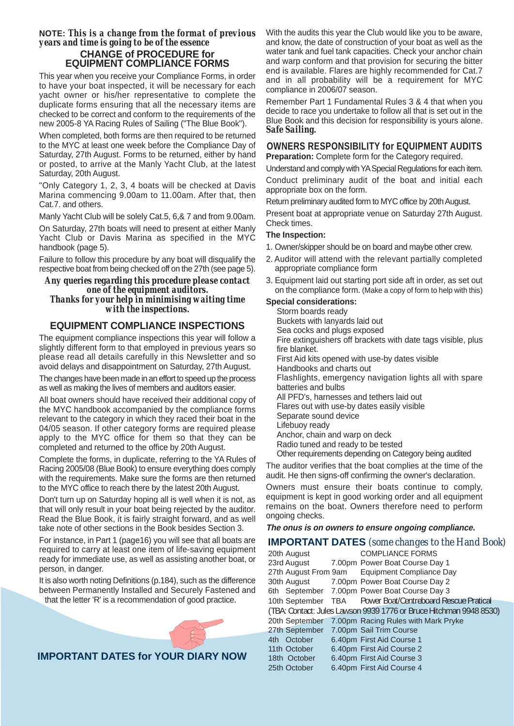#### **NOTE:** *This is a change from the format of previous years and time is going to be of the essence*  **CHANGE of PROCEDURE for EQUIPMENT COMPLIANCE FORMS**

This year when you receive your Compliance Forms, in order to have your boat inspected, it will be necessary for each yacht owner or his/her representative to complete the duplicate forms ensuring that all the necessary items are checked to be correct and conform to the requirements of the new 2005-8 YA Racing Rules of Sailing ("The Blue Book").

When completed, both forms are then required to be returned to the MYC at least one week before the Compliance Day of Saturday, 27th August. Forms to be returned, either by hand or posted, to arrive at the Manly Yacht Club, at the latest Saturday, 20th August.

"Only Category 1, 2, 3, 4 boats will be checked at Davis Marina commencing 9.00am to 11.00am. After that, then Cat.7. and others.

Manly Yacht Club will be solely Cat.5, 6,& 7 and from 9.00am.

On Saturday, 27th boats will need to present at either Manly Yacht Club or Davis Marina as specified in the MYC handbook (page 5).

Failure to follow this procedure by any boat will disqualify the respective boat from being checked off on the 27th (see page 5).

#### *Any queries regarding this procedure please contact one of the equipment auditors. Thanks for your help in minimising waiting time with the inspections.*

### **EQUIPMENT COMPLIANCE INSPECTIONS**

The equipment compliance inspections this year will follow a slightly different form to that employed in previous years so please read all details carefully in this Newsletter and so avoid delays and disappointment on Saturday, 27th August.

The changes have been made in an effort to speed up the process as well as making the lives of members and auditors easier.

All boat owners should have received their additional copy of the MYC handbook accompanied by the compliance forms relevant to the category in which they raced their boat in the 04/05 season. If other category forms are required please apply to the MYC office for them so that they can be completed and returned to the office by 20th August.

Complete the forms, in duplicate, referring to the YA Rules of Racing 2005/08 (Blue Book) to ensure everything does comply with the requirements. Make sure the forms are then returned to the MYC office to reach there by the latest 20th August.

Don't turn up on Saturday hoping all is well when it is not, as that will only result in your boat being rejected by the auditor. Read the Blue Book, it is fairly straight forward, and as well take note of other sections in the Book besides Section 3.

For instance, in Part 1 (page16) you will see that all boats are required to carry at least one item of life-saving equipment ready for immediate use, as well as assisting another boat, or person, in danger.

It is also worth noting Definitions (p.184), such as the difference between Permanently Installed and Securely Fastened and that the letter 'R' is a recommendation of good practice.



With the audits this year the Club would like you to be aware, and know, the date of construction of your boat as well as the water tank and fuel tank capacities. Check your anchor chain and warp conform and that provision for securing the bitter end is available. Flares are highly recommended for Cat.7 and in all probability will be a requirement for MYC compliance in 2006/07 season.

Remember Part 1 Fundamental Rules 3 & 4 that when you decide to race you undertake to follow all that is set out in the Blue Book and this decision for responsibility is yours alone. *Safe Sailing.*

### **OWNERS RESPONSIBILITY for EQUIPMENT AUDITS**

**Preparation:** Complete form for the Category required.

Understand and comply with YASpecial Regulations for each item. Conduct preliminary audit of the boat and initial each appropriate box on the form.

Return preliminary audited form to MYC office by 20th August.

Present boat at appropriate venue on Saturday 27th August. Check times.

#### **The Inspection:**

- 1. Owner/skipper should be on board and maybe other crew.
- 2. Auditor will attend with the relevant partially completed appropriate compliance form
- 3. Equipment laid out starting port side aft in order, as set out on the compliance form. (Make a copy of form to help with this)

#### **Special considerations:**

Storm boards ready Buckets with lanyards laid out Sea cocks and plugs exposed Fire extinguishers off brackets with date tags visible, plus fire blanket. First Aid kits opened with use-by dates visible Handbooks and charts out Flashlights, emergency navigation lights all with spare batteries and bulbs All PFD's, harnesses and tethers laid out Flares out with use-by dates easily visible Separate sound device Lifebuoy ready Anchor, chain and warp on deck Radio tuned and ready to be tested Other requirements depending on Category being audited

The auditor verifies that the boat complies at the time of the audit. He then signs-off confirming the owner's declaration.

Owners must ensure their boats continue to comply, equipment is kept in good working order and all equipment remains on the boat. Owners therefore need to perform ongoing checks.

#### **The onus is on owners to ensure ongoing compliance.**

### **IMPORTANT DATES** *(some changes to the Hand Book)*

| 20th August                            | <b>COMPLIANCE FORMS</b>                                            |
|----------------------------------------|--------------------------------------------------------------------|
| 23rd August                            | 7.00pm Power Boat Course Day 1                                     |
| 27th August From 9am                   | <b>Equipment Compliance Day</b>                                    |
| 30th August                            | 7.00pm Power Boat Course Day 2                                     |
|                                        | 6th September 7.00pm Power Boat Course Day 3                       |
|                                        | 10th September TBA Power Boat/Centreboard Rescue Pratical          |
|                                        | (TBA: Contact: Jules Lawson 9939 1776 or Bruce Hitchman 9948 8530) |
| 20th September                         | 7.00pm Racing Rules with Mark Pryke                                |
| 27th September 7.00pm Sail Trim Course |                                                                    |
| 4th October                            | 6.40pm First Aid Course 1                                          |
| 11th October                           | 6.40pm First Aid Course 2                                          |
| 18th October                           | 6.40pm First Aid Course 3                                          |
| 25th October                           | 6.40pm First Aid Course 4                                          |
|                                        |                                                                    |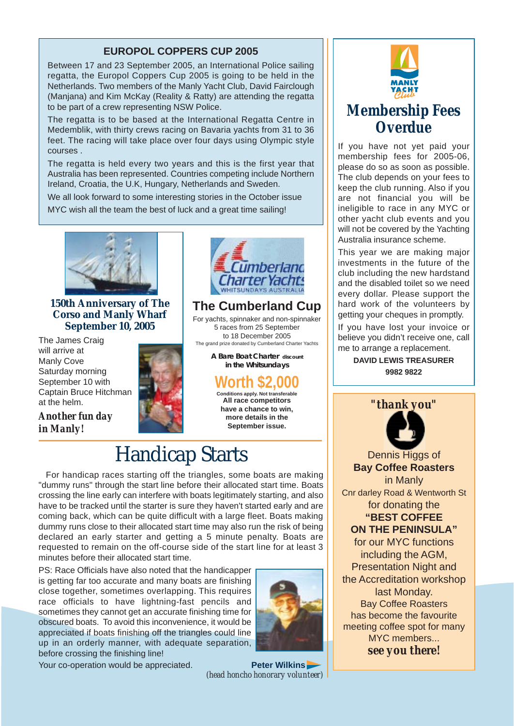### **EUROPOL COPPERS CUP 2005**

Between 17 and 23 September 2005, an International Police sailing regatta, the Europol Coppers Cup 2005 is going to be held in the Netherlands. Two members of the Manly Yacht Club, David Fairclough (Manjana) and Kim McKay (Reality & Ratty) are attending the regatta to be part of a crew representing NSW Police.

The regatta is to be based at the International Regatta Centre in Medemblik, with thirty crews racing on Bavaria yachts from 31 to 36 feet. The racing will take place over four days using Olympic style courses .

The regatta is held every two years and this is the first year that Australia has been represented. Countries competing include Northern Ireland, Croatia, the U.K, Hungary, Netherlands and Sweden.

We all look forward to some interesting stories in the October issue MYC wish all the team the best of luck and a great time sailing!



### **150th Anniversary of The Corso and Manly Wharf September 10, 2005**

The James Craig will arrive at Manly Cove Saturday morning September 10 with Captain Bruce Hitchman at the helm.

*Another fun day* 

*in Manly!*





### **The Cumberland Cup**

For yachts, spinnaker and non-spinnaker 5 races from 25 September to 18 December 2005 The grand prize donated by Cumberland Charter Yachts

**A Bare Boat Charter discount in the Whitsundays** 

### **Worth \$2,000**

**Conditions apply. Not transferable All race competitors have a chance to win, more details in the September issue.**

### Handicap Starts

For handicap races starting off the triangles, some boats are making "dummy runs" through the start line before their allocated start time. Boats crossing the line early can interfere with boats legitimately starting, and also have to be tracked until the starter is sure they haven't started early and are coming back, which can be quite difficult with a large fleet. Boats making dummy runs close to their allocated start time may also run the risk of being declared an early starter and getting a 5 minute penalty. Boats are requested to remain on the off-course side of the start line for at least 3 minutes before their allocated start time.

PS: Race Officials have also noted that the handicapper is getting far too accurate and many boats are finishing close together, sometimes overlapping. This requires race officials to have lightning-fast pencils and sometimes they cannot get an accurate finishing time for obscured boats. To avoid this inconvenience, it would be appreciated if boats finishing off the triangles could line up in an orderly manner, with adequate separation, before crossing the finishing line!



Your co-operation would be appreciated. **Peter Wilkins** 

*(head honcho honorary volunteer)* 



### **Membership Fees Overdue**

If you have not yet paid your membership fees for 2005-06, please do so as soon as possible. The club depends on your fees to keep the club running. Also if you are not financial you will be ineligible to race in any MYC or other yacht club events and you will not be covered by the Yachting Australia insurance scheme.

This year we are making major investments in the future of the club including the new hardstand and the disabled toilet so we need every dollar. Please support the hard work of the volunteers by getting your cheques in promptly.

If you have lost your invoice or believe you didn't receive one, call me to arrange a replacement.

> **DAVID LEWIS TREASURER 9982 9822**



Dennis Higgs of **Bay Coffee Roasters** in Manly Cnr darley Road & Wentworth St for donating the **"BEST COFFEE ON THE PENINSULA"** for our MYC functions including the AGM, Presentation Night and the Accreditation workshop last Monday. Bay Coffee Roasters has become the favourite

meeting coffee spot for many MYC members...

*see you there!*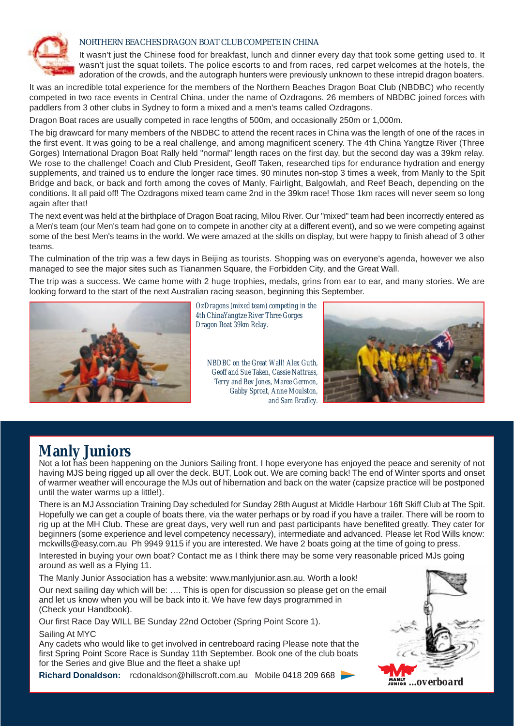

#### NORTHERN BEACHES DRAGON BOAT CLUB COMPETE IN CHINA

It wasn't just the Chinese food for breakfast, lunch and dinner every day that took some getting used to. It wasn't just the squat toilets. The police escorts to and from races, red carpet welcomes at the hotels, the adoration of the crowds, and the autograph hunters were previously unknown to these intrepid dragon boaters.

It was an incredible total experience for the members of the Northern Beaches Dragon Boat Club (NBDBC) who recently competed in two race events in Central China, under the name of Ozdragons. 26 members of NBDBC joined forces with paddlers from 3 other clubs in Sydney to form a mixed and a men's teams called Ozdragons.

Dragon Boat races are usually competed in race lengths of 500m, and occasionally 250m or 1,000m.

The big drawcard for many members of the NBDBC to attend the recent races in China was the length of one of the races in the first event. It was going to be a real challenge, and among magnificent scenery. The 4th China Yangtze River (Three Gorges) International Dragon Boat Rally held "normal" length races on the first day, but the second day was a 39km relay. We rose to the challenge! Coach and Club President, Geoff Taken, researched tips for endurance hydration and energy supplements, and trained us to endure the longer race times. 90 minutes non-stop 3 times a week, from Manly to the Spit Bridge and back, or back and forth among the coves of Manly, Fairlight, Balgowlah, and Reef Beach, depending on the conditions. It all paid off! The Ozdragons mixed team came 2nd in the 39km race! Those 1km races will never seem so long again after that!

The next event was held at the birthplace of Dragon Boat racing, Milou River. Our "mixed" team had been incorrectly entered as a Men's team (our Men's team had gone on to compete in another city at a different event), and so we were competing against some of the best Men's teams in the world. We were amazed at the skills on display, but were happy to finish ahead of 3 other teams.

The culmination of the trip was a few days in Beijing as tourists. Shopping was on everyone's agenda, however we also managed to see the major sites such as Tiananmen Square, the Forbidden City, and the Great Wall.

The trip was a success. We came home with 2 huge trophies, medals, grins from ear to ear, and many stories. We are looking forward to the start of the next Australian racing season, beginning this September.



*OzDragons (mixed team) competing in the 4th ChinaYangtze River Three Gorges Dragon Boat 39km Relay.*

*NBDBC on the Great Wall! Alex Guth, Geoff and Sue Taken, Cassie Nattrass, Terry and Bev Jones, Maree Germon, Gabby Sproat, Anne Moulston, and Sam Bradley.*



### **Manly Juniors**

Not a lot has been happening on the Juniors Sailing front. I hope everyone has enjoyed the peace and serenity of not having MJS being rigged up all over the deck. BUT, Look out. We are coming back! The end of Winter sports and onset of warmer weather will encourage the MJs out of hibernation and back on the water (capsize practice will be postponed until the water warms up a little!).

There is an MJ Association Training Day scheduled for Sunday 28th August at Middle Harbour 16ft Skiff Club at The Spit. Hopefully we can get a couple of boats there, via the water perhaps or by road if you have a trailer. There will be room to rig up at the MH Club. These are great days, very well run and past participants have benefited greatly. They cater for beginners (some experience and level competency necessary), intermediate and advanced. Please let Rod Wills know: mckwills@easy.com.au Ph 9949 9115 if you are interested. We have 2 boats going at the time of going to press.

Interested in buying your own boat? Contact me as I think there may be some very reasonable priced MJs going around as well as a Flying 11.

The Manly Junior Association has a website: www.manlyjunior.asn.au. Worth a look!

Our next sailing day which will be: …. This is open for discussion so please get on the email and let us know when you will be back into it. We have few days programmed in (Check your Handbook).

Our first Race Day WILL BE Sunday 22nd October (Spring Point Score 1). Sailing At MYC

Any cadets who would like to get involved in centreboard racing Please note that the first Spring Point Score Race is Sunday 11th September. Book one of the club boats for the Series and give Blue and the fleet a shake up!

**Richard Donaldson:** rcdonaldson@hillscroft.com.au Mobile 0418 209 668

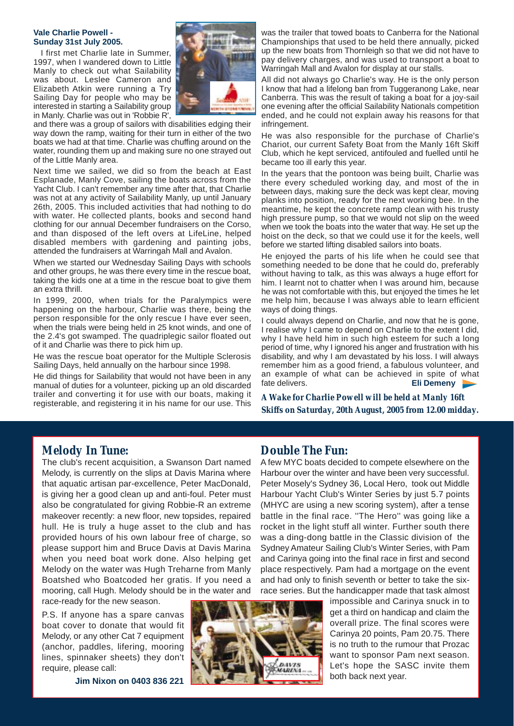#### **Vale Charlie Powell - Sunday 31st July 2005.**

I first met Charlie late in Summer, 1997, when I wandered down to Little Manly to check out what Sailability was about. Leslee Cameron and Elizabeth Atkin were running a Try Sailing Day for people who may be interested in starting a Sailability group in Manly. Charlie was out in 'Robbie R'



and there was a group of sailors with disabilities edging their way down the ramp, waiting for their turn in either of the two boats we had at that time. Charlie was chuffing around on the water, rounding them up and making sure no one strayed out of the Little Manly area.

Next time we sailed, we did so from the beach at East Esplanade, Manly Cove, sailing the boats across from the Yacht Club. I can't remember any time after that, that Charlie was not at any activity of Sailability Manly, up until January 26th, 2005. This included activities that had nothing to do with water. He collected plants, books and second hand clothing for our annual December fundraisers on the Corso, and than disposed of the left overs at LifeLine, helped disabled members with gardening and painting jobs, attended the fundraisers at Warringah Mall and Avalon.

When we started our Wednesday Sailing Days with schools and other groups, he was there every time in the rescue boat, taking the kids one at a time in the rescue boat to give them an extra thrill.

In 1999, 2000, when trials for the Paralympics were happening on the harbour, Charlie was there, being the person responsible for the only rescue I have ever seen, when the trials were being held in 25 knot winds, and one of the 2.4's got swamped. The quadriplegic sailor floated out of it and Charlie was there to pick him up.

He was the rescue boat operator for the Multiple Sclerosis Sailing Days, held annually on the harbour since 1998.

He did things for Sailability that would not have been in any manual of duties for a volunteer, picking up an old discarded trailer and converting it for use with our boats, making it registerable, and registering it in his name for our use. This was the trailer that towed boats to Canberra for the National Championships that used to be held there annually, picked up the new boats from Thornleigh so that we did not have to pay delivery charges, and was used to transport a boat to Warringah Mall and Avalon for display at our stalls.

All did not always go Charlie's way. He is the only person I know that had a lifelong ban from Tuggeranong Lake, near Canberra. This was the result of taking a boat for a joy-sail one evening after the official Sailability Nationals competition ended, and he could not explain away his reasons for that infringement.

He was also responsible for the purchase of Charlie's Chariot, our current Safety Boat from the Manly 16ft Skiff Club, which he kept serviced, antifouled and fuelled until he became too ill early this year.

In the years that the pontoon was being built, Charlie was there every scheduled working day, and most of the in between days, making sure the deck was kept clear, moving planks into position, ready for the next working bee. In the meantime, he kept the concrete ramp clean with his trusty high pressure pump, so that we would not slip on the weed when we took the boats into the water that way. He set up the hoist on the deck, so that we could use it for the keels, well before we started lifting disabled sailors into boats.

He enjoyed the parts of his life when he could see that something needed to be done that he could do, preferably without having to talk, as this was always a huge effort for him. I learnt not to chatter when I was around him, because he was not comfortable with this, but enjoyed the times he let me help him, because I was always able to learn efficient ways of doing things.

I could always depend on Charlie, and now that he is gone, I realise why I came to depend on Charlie to the extent I did, why I have held him in such high esteem for such a long period of time, why I ignored his anger and frustration with his disability, and why I am devastated by his loss. I will always remember him as a good friend, a fabulous volunteer, and an example of what can be achieved in spite of what fate delivers. **Eli Demeny** 

*A Wake for Charlie Powell will be held at Manly 16ft Skiffs on Saturday, 20th August, 2005 from 12.00 midday.*

### *Melody In Tune:*

The club's recent acquisition, a Swanson Dart named Melody, is currently on the slips at Davis Marina where that aquatic artisan par-excellence, Peter MacDonald, is giving her a good clean up and anti-foul. Peter must also be congratulated for giving Robbie-R an extreme makeover recently: a new floor, new topsides, repaired hull. He is truly a huge asset to the club and has provided hours of his own labour free of charge, so please support him and Bruce Davis at Davis Marina when you need boat work done. Also helping get Melody on the water was Hugh Treharne from Manly Boatshed who Boatcoded her gratis. If you need a mooring, call Hugh. Melody should be in the water and

race-ready for the new season.

P.S. If anyone has a spare canvas boat cover to donate that would fit Melody, or any other Cat 7 equipment (anchor, paddles, lifering, mooring lines, spinnaker sheets) they don't require, please call:

**Jim Nixon on 0403 836 221**



### *Double The Fun:*

A few MYC boats decided to compete elsewhere on the Harbour over the winter and have been very successful. Peter Mosely's Sydney 36, Local Hero, took out Middle Harbour Yacht Club's Winter Series by just 5.7 points (MHYC are using a new scoring system), after a tense battle in the final race. ''The Hero'' was going like a rocket in the light stuff all winter. Further south there was a ding-dong battle in the Classic division of the Sydney Amateur Sailing Club's Winter Series, with Pam and Carinya going into the final race in first and second place respectively. Pam had a mortgage on the event and had only to finish seventh or better to take the sixrace series. But the handicapper made that task almost

> impossible and Carinya snuck in to get a third on handicap and claim the overall prize. The final scores were Carinya 20 points, Pam 20.75. There is no truth to the rumour that Prozac want to sponsor Pam next season. Let's hope the SASC invite them both back next year.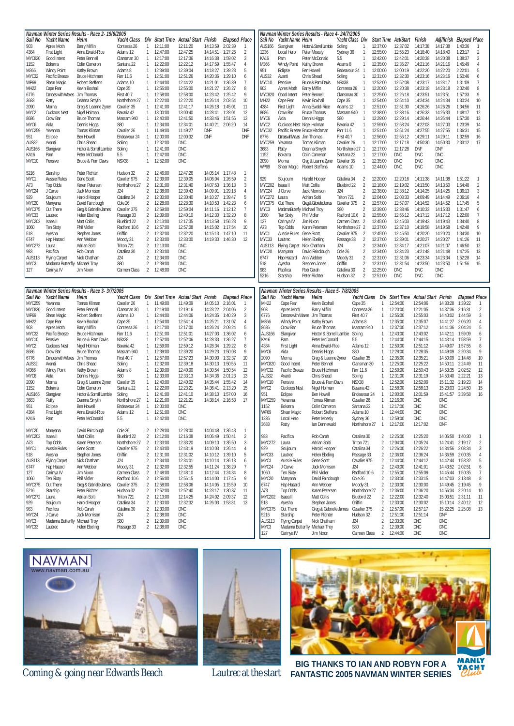|                   | Navman Winter Series Results - Race 2- 19/6/2005 |                                                 |                   |                                  | Navman Winter Series Results - Race 4- 24/7/2005 |                                                |                  |                      |                |                  |                            |                                                 |                   |                   |                                  |                                                |            |                  |                      |                      |
|-------------------|--------------------------------------------------|-------------------------------------------------|-------------------|----------------------------------|--------------------------------------------------|------------------------------------------------|------------------|----------------------|----------------|------------------|----------------------------|-------------------------------------------------|-------------------|-------------------|----------------------------------|------------------------------------------------|------------|------------------|----------------------|----------------------|
| Sail No           | <b>Yacht Name</b>                                | Helm                                            | Yacht Class       | Div                              |                                                  | Start Time Actual Start Finish                 |                  | <b>Elapsed Place</b> |                | Sail No          | Yacht Name Helm            |                                                 | Yacht Class Div   |                   |                                  | <b>Start Time Act/Start</b>                    | Finish     | Adj/finish       | <b>Elapsed Place</b> |                      |
| 903               | Apres Moth                                       | Barry Miflin                                    | Contessa 26       | $\mathbf{1}$                     | 12:11:00                                         | 12:11:20                                       | 14:13:59         | 2:02:39              | -1             | <b>AUS166</b>    | Slangivar                  | Hector & Sorrell Lambie                         | Soling            | -1                | 12:37:00                         | 12:37:02                                       | 14:17:38   | 14:17:38         | 1:40:36              |                      |
| 4384              | First Light                                      | Anna Ewald-Rice                                 | Adams 12          | $\mathbf{1}$                     | 12:47:00                                         | 12:47:25                                       | 14:14:51         | 1:27:26              | 2              | 1236             | Local Hero                 | Peter Moesly                                    | Sydney 36         | $\overline{1}$    | 12:55:00                         | 12:55:23                                       | 14:18:40   | 14:18:40         | 1:23:17              | 2                    |
| <b>MYC820</b>     | Good Intent                                      | Peter Bennell                                   | Clansman 30       | $\mathbf{1}$                     | 12:17:00                                         | 12:17:36                                       | 14:16:38         | 1:59:02              | 3              | KA16             | Pam                        | Peter McDonald                                  | 5.5               | 1                 | 12:42:00                         | 12:42:01                                       | 14:20:38   | 14:20:38         | 1:38:37              | 3                    |
| 1152              | Bokarra                                          | Colin Cameron                                   | Santana 22        | $\mathbf{1}$                     | 12:22:00                                         | 12:22:12                                       | 14:17:59         | 1:55:47              | $\overline{4}$ | M366             | <b>Windy Point</b>         | Kathy Brown                                     | Adams 8           | $\overline{1}$    | 12:35:00                         | 12:35:27                                       | 14:21:16   | 14:21:16         | 1:45:49              | 4                    |
| M366              | Windy Point                                      | Kathy Brown                                     | Adams 8           | $\mathbf{1}$                     | 12:39:00                                         | 12:39:04                                       | 14:18:27         | 1:39:23              | 5              | 951              | Eclipse                    | <b>Ben Howell</b>                               | Endeavour 24 1    |                   | 12:00:00                         | 12:00:19                                       | 14:22:20   | 14:22:20         | 2:22:01              | 5                    |
| MYC32             | Pacific Breeze                                   | <b>Bruce Hitchman</b>                           | Farr 11.6         | $\mathbf{1}$                     | 12:51:00                                         | 12:51:26                                       | 14:20:36         | 1:29:10              | 6              | AUS32            | Avanti                     | Chris Shead                                     | Soling            | 1                 | 12:31:00                         | 12:32:30                                       | 14:23:16   | 14:23:16         | 1:50:46              | 6                    |
| WP69              | Shear Magic                                      | <b>Robert Steffens</b>                          | Adams 10          | 1                                | 12:44:00                                         | 12:44:22                                       | 14:21:01         | 1:36:39              | 7              | MYC10            | Pensive                    | Bruce & Pam Davis                               | NSX38             | -1                | 12:52:00                         | 12:52:08                                       | 14:23:17   | 14:23:17         | 1:31:09              | 7                    |
| MH <sub>22</sub>  | Cape Fear                                        | Kevin Boxhall                                   | Cape 35           | 1                                | 12:55:00                                         | 12:55:00                                       | 14:21:27         | 1:26:27              | 8              | 903              | Apres Moth                 | <b>Barry Miflin</b>                             | Contessa 26       | $\overline{1}$    | 12:20:00                         | 12:20:38                                       | 14:23:18   | 14:23:18         | 2:02:40              | 8                    |
| 6776              | Dances with Waves                                | Jim Thomas                                      | <b>First 40.7</b> | 1                                | 12:58:00                                         | 12:58:00                                       | 14:23:42         | 1:25:42              | 9              | MYC820           | Good Intent                | Peter Bennell                                   | Clansman 30       | $\overline{1}$    | 12:25:00                         | 12:26:18                                       | 14:23:51   | 14:23:51         | 1:57:33              | 9                    |
| 3683              | Ratty                                            | Deanna Smyth                                    | Northshore 27     | $\overline{1}$                   | 12:22:00                                         | 12:22:20                                       | 14:26:14         | 2:03:54              | 10             | MH22             | Cape Fear                  | Kevin Boxhall                                   | Cape 35           | $\mathbf{1}$      | 12:54:00                         | 12:54:10                                       | 14:24:34   | 14:24:34         | 1:30:24              | 10                   |
| 2090              | Morna                                            | Greg & Leanne Zyner                             | Cavalier 35       | $\mathbf{1}$                     | 12:41:00                                         | 12:41:17                                       | 14:26:18         | 1:45:01              | 11             | 4384             | First Light                | Anna Ewald-Rice                                 | Adams 12          | $\overline{1}$    | 12:51:00                         | 12:51:30                                       | 14:26:26   | 14:26:26         | 1:34:56              | 11                   |
| MYC <sub>2</sub>  | <b>Cuckoos Nest</b>                              | Nigel Holman                                    | Bavaria 42        | 1                                | 13:00:00                                         | 13:00:40                                       | 14:28:41         | 1:28:01              | 12             | 8686             | Crow Bar                   | <b>Bruce Thomas</b>                             | Masram 940        | $\overline{1}$    | 12:38:00                         | 12:38:16                                       | 14:26:33   | 14:26:33         | 1:48:17              | 12                   |
| 8686              | Crow Bar                                         | <b>Bruce Thomas</b>                             | Masram 940        | 1                                | 12:40:00                                         | 12:41:50                                       | 14:33:46         | 1:51:56              | 13             | MYC6             | Aida                       | Dennis Higgs                                    | <b>S80</b>        | 1                 | 12:29:00                         | 12:29:14                                       | 14:26:44   | 14:26:44         | 1:57:30              | 13                   |
| MYC6              | Aida                                             | Dennis Higgs                                    | S80               | 1                                | 12:34:00                                         | 12:34:01                                       | 14:40:21         | 2:06:20              | 14             | MYC <sub>2</sub> | Cuckoos Nest Nigel Holman  |                                                 | Bavaria 42        | $\overline{1}$    | 12:59:00                         | 12:58:24                                       | 14:22:03   | 14:27:03         | 1:23:39              | 14                   |
| <b>MYC259</b>     | Yevanna                                          | <b>Tomas Kliman</b>                             | Cavalier 26       | 1                                | 11:49:00                                         | 11:49:27                                       | DNF              |                      | <b>DNF</b>     | MYC32            |                            | Pacific Breeze Bruce Hitchman                   | Farr 11.6         | $\overline{1}$    | 12:51:00                         | 12:51:24                                       | 14:27:55   | 14:27:55         | 1:36:31              | 15                   |
| 951               | Eclipse                                          | Ben Howell                                      | Endeavour 24      | 1                                | 12:00:00                                         | 12:00:32                                       | <b>DNF</b>       |                      | <b>DNF</b>     | 6776             | DanceswithWaves Jim Thomas |                                                 | <b>First 40.7</b> | $\overline{1}$    | 12:56:00                         | 12:56:12                                       | 14:29:11   | 14:29:11         | 1:32:59              | 16                   |
| AUS32             | Avanti                                           | Chris Shead                                     | Soling            | $\mathbf{1}$                     | 12:32:00                                         | DNC                                            |                  |                      |                | MYC259           | Yevanna                    | <b>Tomas Kliman</b>                             | Cavalier 26       | $\overline{1}$    | 12:17:00                         | 12:17:18                                       | 14:50:30   | 14:50:30         | 2:33:12              | 17                   |
| AUS166            | Slangivar                                        | Hector & Sorrell Lambie                         | Soling            | 1                                | 12:41:00                                         | DNC                                            |                  |                      |                | 3683             | Ratty                      | Deanna Smyth                                    | Northshore 27 1   |                   | 12:17:00                         | 12:17:28                                       | DNF        | DNF              |                      |                      |
| KA16              | Pam                                              | Peter McDonald                                  | 5.5               | 1                                | 12:42:00                                         | DNC                                            |                  |                      |                | 1152             | Bokarra                    | Colin Cameron                                   | Santana 22        | $\overline{1}$    | 12:17:00                         | DNC                                            | DNC        | <b>DNC</b>       |                      |                      |
| MYC10             | Pensive                                          | Bruce & Pam Davis                               | NSX38             | 1                                | 12:52:00                                         | DNC                                            |                  |                      |                | 2090             | Morna                      | Greg & Leanne Zyner                             | Cavalier 35       | $\overline{1}$    | 12:35:00                         | <b>DNC</b>                                     | <b>DNC</b> | <b>DNC</b>       |                      |                      |
|                   |                                                  |                                                 |                   |                                  |                                                  |                                                |                  |                      |                | WP69             | Shear Magic                | <b>Robert Steffens</b>                          | Adams 10          | $\overline{1}$    | 12:44:00                         | DNC                                            | DNC        | <b>DNC</b>       |                      |                      |
| 5216              | Starship                                         | Peter Richter                                   | Hudson 32         | 2                                | 12:46:00                                         | 12:47:26                                       | 14:05:14 1:17:48 |                      | -1             |                  |                            |                                                 |                   |                   |                                  |                                                |            |                  |                      |                      |
| MYC1              | <b>Aussie Rules</b>                              | Gene Scott                                      | Cavalier 975      | $\overline{2}$                   | 12:39:00                                         | 12:39:05                                       | 14:06:04         | 1:26:59              | $\overline{2}$ | 929              | Soujourn                   | Harold Hooper                                   | Catalina 34       | 2                 | 12:20:00                         | 12:20:16                                       | 14:11:38   | 14:11:38         | 1:51:22              |                      |
| A73               | Top Odds                                         | Karen Petersen                                  | Northshore 27     | $\overline{2}$                   | 12:31:00                                         | 12:31:40                                       | 14:07:53         | 1:36:13              | 3              | MYC202           | Isaea II                   | Matt Collis                                     | Bluebird 22       | 2                 | 12:18:00                         | 12:19:02                                       | 14:13:50   | 14:13:50         | 1:54:48              | $\overline{2}$       |
| MYC24             | J Curve                                          | Jack Morrison                                   | J24               | 2                                | 12:38:00                                         | 12:39:43                                       | 14:09:01         | 1:29:18              | $\overline{4}$ | MYC24            | J Curve                    | Jack Morrison                                   | J24               | $\overline{2}$    | 12:38:00                         | 12:38:12                                       | 14:14:25   | 14:14:25         | 1:36:13              | 3                    |
| 929               | Soujourn                                         | Harold Hooper                                   | Catalina 34       | $\mathfrak{D}$                   | 12:30:00                                         | 12:30:40                                       | 14:10:27         | 1:39:47              | 5              | MYC272           | Laura                      | Adrian Solti                                    | Triton 721        | 2                 | 12:04:00                         | 12:03:33                                       | 14:09:49   | 14:14:49         | 2:06:16              | 4                    |
| MYC20             | Manyana                                          | David Fairclough                                | Cole 26           | $\overline{2}$                   | 12:28:00                                         | 12:28:30                                       | 14:10:53         | 1:42:23              | 6              | MYC375           | Out There                  | Greg & Gabrielle James                          | Cavalier 375      | 2                 | 12:57:00                         | 12:57:07                                       | 14:14:52   | 14:14:52         | 1:17:45              | 5                    |
| MYC375            | Out There                                        | Greg & Gabrielle James                          | Cavalier 375      | $\overline{2}$                   | 12:59:00                                         | 12:59:04                                       | 14:11:16         | 1:12:12              | 7              | MYC3             | Madama Butterf             | / Michael Troy                                  | S80               | $\overline{2}$    | 12:39:00                         | 12:38:46                                       | 14:10:33   | 14:15:33         | 1:31:47              | 6                    |
| MYC33             | Lautrec                                          | Helen Ebeling                                   | Passage 33        | $\overline{2}$                   | 12:39:00                                         | 12:40:10                                       | 14:12:30         | 1:32:20              | 8              | 1060             | <b>Ten Sixty</b>           | <b>Phil Vidler</b>                              | Radford 10.6      | $\overline{2}$    | 12:55:00                         | 12:55:12                                       | 14:17:12   | 14:17:12         | 1:22:00              | 7                    |
| <b>MYC202</b>     | Isaea II                                         | Matt Collis                                     | Bluebird 22       | $\overline{2}$                   | 12:13:00                                         | 12:17:35                                       | 14:13:58         | 1:56:23              | 9              | 127              | Carinya IV                 | Jim Nixon                                       | Carmen Class      | 2                 | 12:45:00                         | 12:45:03                                       | 14:19:43   | 14:19:43         | 1:34:40              | 8                    |
| 1060              | <b>Ten Sixty</b>                                 | Phil Vidler                                     | Radford 10.6      | $\overline{2}$                   | 12:57:00                                         | 12:57:08                                       | 14:15:02         | 1:17:54              | 10             | A73              | Top Odds                   | Karen Petersen                                  | Northshore 27 2   |                   | 12:37:00                         | 12:37:10                                       | 14:19:58   | 14:19:58         | 1:42:48              | 9                    |
| 518               | Ayesha                                           | Stephen Jones                                   | Griffin           | 2                                | 12:32:00                                         | 12:32:20                                       | 14:15:13         | 1:47:10              | 11             | MYC1             | Aussie Rules               | Gene Scott                                      | Cavalier 975      | 2                 | 12:45:00                         | 12:45:50                                       | 14:20:20   | 14:20:20         | 1:34:30              | 10                   |
| 6747              | Hap Hazard                                       | Ann Webber                                      | Moody 31          | 2                                | 12:33:00                                         | 12:33:00                                       | 14:19:30         | 1:46:30              | 12             | MYC33            | Lautrec                    | Helen Ebeling                                   | Passage 33        | 2                 | 12:37:00                         | 12:39:01                                       | 14:20:27   | 14:20:27         | 1:41:26              | 11                   |
| MYC272            | Laura                                            | Adrian Solti                                    | Triton 721        | 2                                | 12:13:00                                         | DNC                                            |                  |                      |                | <b>AUS113</b>    | <b>Flying Carpet</b>       | Nick Chatham                                    | J24               | 2                 | 12:34:00                         | 12:34:17                                       | 14:21:07   | 14:21:07         | 1:46:50              | 12                   |
| 983               | Pacifica                                         | Rob Carah                                       | Catalina 30       | $\mathfrak{I}$                   | 12:30:00                                         | DNC                                            |                  |                      |                | MYC20            | Manyana                    | David Fairclough                                | Cole 26           | $\overline{2}$    | 12:34:00                         | 12:34:23                                       | 14:21:48   | 14:21:48         | 1:47:25              | 13                   |
| AUS113            | <b>Flying Carpet</b>                             | Nick Chatham                                    | J24               | $\mathfrak{I}$                   | 12:34:00                                         | DNC                                            |                  |                      |                | 6747             | Hap Hazard                 | Ann Webber                                      | Moody 31          | $\overline{2}$    | 12:31:00                         | 12:31:06                                       | 14:23:34   | 14:23:34         | 1:52:28              | 14                   |
| MYC3              | Madama Butterfly Michael Troy                    |                                                 | S80               | $\overline{2}$                   | 12:39:00                                         | <b>DNC</b>                                     |                  |                      |                | 518              | Ayesha                     | Stephen Jones                                   | Griffin           | $\overline{2}$    | 12:31:00                         | 12:31:54                                       | 14:23:50   | 14:23:50         | 1:51:56              | 15                   |
| 127               | Carinya IV                                       | Jim Nixon                                       | Carmen Class      | 2                                | 12:48:00                                         | <b>DNC</b>                                     |                  |                      |                | 983              | Pacifica                   | Rob Carah                                       | Catalina 30       | 2                 | 12:25:00                         | <b>DNC</b>                                     | <b>DNC</b> | <b>DNC</b>       |                      |                      |
|                   |                                                  |                                                 |                   |                                  |                                                  |                                                |                  |                      |                | 5216             | Starship                   | Peter Richter                                   | Hudson 32         | 2                 | 12:51:00                         | DNC                                            | DNC        | <b>DNC</b>       |                      |                      |
|                   |                                                  |                                                 |                   |                                  |                                                  |                                                |                  |                      |                |                  |                            |                                                 |                   |                   |                                  |                                                |            |                  |                      |                      |
|                   |                                                  |                                                 |                   |                                  |                                                  |                                                |                  |                      |                |                  |                            |                                                 |                   |                   |                                  |                                                |            |                  |                      |                      |
|                   |                                                  | Navman Winter Series Results - Race 3- 3/7/2005 |                   |                                  |                                                  |                                                |                  |                      |                |                  |                            | Navman Winter Series Results - Race 5- 7/8/2005 |                   |                   |                                  |                                                |            |                  |                      |                      |
| Sail No           | Yacht Name                                       | Helm                                            |                   |                                  |                                                  | Yacht Class Div Start Time Actual Start Finish |                  | <b>Elapsed Place</b> |                | Sail No          | Yacht Name                 | Helm                                            |                   |                   |                                  | Yacht Class Div Start Time Actual Start Finish |            |                  |                      | <b>Elapsed Place</b> |
| <b>MYC259</b>     | Yevanna                                          | Tomas Kliman                                    | Cavalier 26       | $\mathbf{1}$                     | 11:49:00                                         | 11:49:09                                       | 14:05:10         | 2:16:01              | -1             | MH <sub>22</sub> | Cape Fear                  | Kevin Boxhall                                   |                   | Cape 35           | 1                                | 12:54:00                                       | 12:54:06   | 14:33:28         | 1:39:22              |                      |
| <b>MYC820</b>     | Good Intent                                      | Peter Bennell                                   | Clansman 30       | 1                                | 12:19:00                                         | 12:19:16                                       | 14:23:22         | 2:04:06              | 2              | 903              | Apres Moth                 | <b>Barry Miflin</b>                             |                   | Contessa 26       | 1                                | 12:20:00                                       | 12:21:05   | 14:37:36         | 2:16:31              | $\overline{2}$       |
| WP69              | Shear Magic                                      | Robert Steffens                                 | Adams 10          | 1                                | 12:44:00                                         | 12:44:06                                       | 14:24:35         | 1:40:29              | 3              | 6776             | Dances with Waves          | Jim Thomas                                      |                   | <b>First 40.7</b> | 1                                | 12:55:00                                       | 12:55:03   | 14:40:02         | 1:44:59              | 3                    |
| MH <sub>22</sub>  | Cape Fear                                        | Kevin Boxhall                                   | Cape 35           | 1                                | 12:54:00                                         | 12:54:14                                       | 14:25:21         | 1:31:07              | $\overline{4}$ | M366             | <b>Windy Point</b>         | Kathy Brown                                     |                   | Adams 8           | 1                                | 12:35:00                                       | 12:35:07   | 14:41:27         | 2:06:20              | 4                    |
| 903               | Apres Moth                                       | Barry Miflin                                    | Contessa 26       | $\mathbf{1}$                     | 12:17:00                                         | 12:17:00                                       | 14:26:24         | 2:09:24              | 5              | 8686             | Crow Bar                   | <b>Bruce Thomas</b>                             |                   | Masram 940        | $\overline{1}$                   | 12:37:00                                       | 12:37:12   | 14:41:36         | 2:04:24              | 5                    |
| MYC32             | Pacific Breeze                                   | <b>Bruce Hitchman</b>                           | Farr 11.6         | -1                               | 12:51:00                                         | 12:51:01                                       | 14:27:03         | 1:36:02              | 6              | <b>AUS166</b>    | Slangivar                  | Hector & Sorrell Lambie                         |                   | Soling            | 1                                | 12:43:00                                       | 12:43:02   | 14:42:11         | 1:59:09              | 6                    |
| MYC10             | Pensive                                          | Bruce & Pam Davis                               | NSX38             | 1                                | 12:52:00                                         | 12:52:06                                       | 14:28:33         | 1:36:27              | $\overline{7}$ | KA16             | Pam                        | Peter McDonald                                  | 5.5               |                   | 1                                | 12:44:00                                       | 12:44:15   | 14:43:14         | 1:58:59              | $\overline{1}$       |
| MYC <sub>2</sub>  | Cuckoos Nest                                     | Nigel Holman                                    | Bavaria 42        | $\mathbf{1}$                     | 12:59:00                                         | 12:59:12                                       | 14:28:34         | 1:29:22              | 8              | 4384             | First Light                | Anna Ewald-Rice                                 |                   | Adams 12          | 1                                | 12:50:00                                       | 12:51:12   | 14:49:07         | 1:57:55              | 8                    |
| 8686              | Crow Bar                                         | <b>Bruce Thomas</b>                             | Masram 940        | $\mathbf{1}$                     | 12:39:00                                         | 12:39:20                                       | 14:29:23         | 1:50:03              | 9              | MYC6             | Aida                       | Dennis Higgs                                    | S80               |                   | 1                                | 12:28:00                                       | 12:28:35   | 14:49:09         | 2:20:34              | 9                    |
| 6776              | Dances with Waves                                | Jim Thomas                                      | <b>First 40.7</b> | 1                                | 12:57:00                                         | 12:57:23                                       | 14:30:00         | 1:32:37              | 10             | 2090             | Morna                      | Greg & Leanne Zyner                             |                   | Cavalier 35       | 1                                | 12:35:00                                       | 12:35:21   | 14:50:09         | 2:14:48              | 10                   |
| AUS32             | Avanti                                           | Chris Shead                                     | Soling            | 1                                | 12:32:00                                         | 12:39:18                                       | 14:30:13         | 1:50:55              | 11             | MYC820           | Good Intent                | Peter Bennell                                   |                   | Clansman 30       | $\overline{1}$                   | 12:25:00                                       | 12:25:22   | 14:50:11         | 2:24:49              | 11                   |
| M366              | Windy Point                                      | Kathy Brown                                     | Adams 8           | 1                                | 12:39:00                                         | 12:40:00                                       | 14:30:54         | 1:50:54              | 12             | MYC32            | Pacific Breeze             | <b>Bruce Hitchman</b>                           |                   | Farr 11.6         | -1                               | 12:50:00                                       | 12:50:43   | 14:53:35         | 2:02:52              | 12                   |
| MYC6              | Aida                                             | Dennis Higgs                                    | S80               | 1                                | 12:33:00                                         | 12:33:13                                       | 14:34:36         | 2:01:23              | 13             | AUS32            | Avanti                     | Chris Shead                                     |                   | Soling            | 1                                | 12:31:00                                       | 12:31:19   | 14:53:40         | 2:22:21              | 13                   |
| 2090              | Morna                                            | Greg & Leanne Zyner                             | Cavalier 35       | $\mathbf{1}$                     | 12:40:00                                         | 12:40:02                                       | 14:35:44         | 1:55:42              | 14             | MYC10            | Pensive                    | Bruce & Pam Davis                               |                   | NSX38             | 1                                | 12:52:00                                       | 12:52:09   | 15:11:32         | 2:19:23              | 14                   |
| 1152              | Bokarra                                          | Colin Cameron                                   | Santana 22        | 1                                | 12:22:00                                         | 12:23:21                                       | 14:36:41         | 2:13:20              | 15             | MYC <sub>2</sub> | <b>Cuckoos Nest</b>        | Nigel Holman                                    |                   | Bavaria 42        | 1                                | 12:58:00                                       | 12:58:13   | 15:23:03         | 2:24:50              | 15                   |
| AUS166            | Slangivar                                        | Hector & Sorrell Lambie                         | Soling            | $\mathbf{1}$                     | 12:41:00                                         | 12:41:10                                       | 14:38:10         | 1:57:00              | 16             | 951              | Eclipse                    | Ben Howell                                      |                   | Endeavour 24      | $\overline{1}$                   | 12:00:00                                       | 12:01:59   | 15:41:57         | 3:39:58              | 16                   |
| 3683              | Ratty                                            | Deanna Smyth                                    | Northshore 27     | 1                                | 12:21:00                                         | 12:21:21                                       | 14:38:14         | 2:16:53              | 17             | MYC259           | Yevanna                    | Tomas Kliman                                    |                   | Cavalier 26       | 1                                | 12:16:00                                       | DNC        | DNC              |                      |                      |
| 951               | Eclipse                                          | <b>Ben Howell</b>                               | Endeavour 24      | $\overline{1}$                   | 12:00:00                                         | DNC                                            |                  |                      |                | 1152             | Bokarra                    | Colin Cameron                                   |                   | Santana 22        | 1                                | 12:17:00                                       | DNC        | <b>DNC</b>       |                      |                      |
| 4384              | <b>First Light</b>                               | Anna Ewald-Rice                                 | Adams 12          | $\mathbf{1}$                     | 12:51:00                                         | <b>DNC</b>                                     |                  |                      |                | WP <sub>69</sub> | Shear Magic                | <b>Robert Steffens</b>                          |                   | Adams 10          |                                  | 1 12:44:00                                     | DNC        | <b>DNC</b>       |                      |                      |
| KA16              | Pam                                              | Peter McDonald                                  | 5.5               | 1.                               | 12:42:00                                         | DNC                                            |                  |                      |                | 1236             | Local Hero                 | Peter Moesly                                    |                   | Sydney 36         | 1                                | 12:59:00                                       | DNC        | DNC              |                      |                      |
|                   |                                                  |                                                 |                   |                                  |                                                  |                                                |                  |                      |                | 3683             | Ratty                      | Ian Dennewald                                   |                   | Northshore 27     | 1                                | 12:17:00                                       | 12:17:02   | DNF              |                      |                      |
| MYC <sub>20</sub> | Manyana                                          | David Fairclough                                | Cole 26           | $\overline{2}$                   | 12:28:00                                         | 12:28:00                                       | 14:04:48 1:36:48 |                      | $\overline{1}$ |                  |                            |                                                 |                   |                   |                                  |                                                |            |                  |                      |                      |
| MYC202            | Isaea II                                         | Matt Collis                                     | Bluebird 22       | $\overline{2}$                   | 12:12:00                                         | 12:16:08                                       | 14:06:49 1:50:41 |                      | $\overline{2}$ | 983              | Pacifica                   | Rob Carah                                       |                   | Catalina 30       | $\overline{2}$                   | 12:25:00                                       | 12:25:20   | 14:05:50         | 1:40:30              | -1                   |
| A73               | Top Odds                                         | Karen Petersen                                  | Northshore 27     | $\overline{2}$                   | 12:33:00                                         | 12:33:20                                       | 14:09:10 1:35:50 |                      | $\mathbf{3}$   | MYC272           | Laura                      | Adrian Solti                                    |                   | Triton 721        | $\overline{2}$                   | 12:04:00                                       | 12:05:24   |                  | 14:24:41 2:19:17     | $\overline{2}$       |
| MYC1              | Aussie Rules                                     | Gene Scott                                      | Cavalier 975      | $\overline{2}$                   | 12:43:00                                         | 12:43:19                                       | 14:10:03 1:26:44 |                      | $\overline{4}$ | 929              | Soujourn                   | Harold Hooper                                   |                   | Catalina 34       | $\overline{2}$                   | 12:26:00                                       | 12:26:22   |                  | 14:34:56 2:08:34     | 3                    |
| 518               | Ayesha                                           | Stephen Jones                                   | Griffin           | $\overline{2}$                   | 12:31:00                                         | 12:31:02                                       | 14:10:12 1:39:10 |                      | 5              | MYC33            | Lautrec                    | Helen Ebeling                                   |                   | Passage 33        | $\overline{2}$                   | 12:36:00                                       | 12:36:24   |                  | 14:36:59 2:00:35     | 4                    |
| AUS113            | <b>Flying Carpet</b>                             | Nick Chatham                                    | J24               | $\overline{2}$                   | 12:34:00                                         | 12:34:01                                       | 14:10:14 1:36:13 |                      | 6              | MYC1             | Aussie Rules               | Gene Scott                                      |                   | Cavalier 975      | $\overline{2}$                   | 12:44:00                                       | 12:44:12   |                  | 14:42:44 1:58:32     | 5                    |
| 6747              | Hap Hazard                                       | Ann Webber                                      | Moody 31          | $\overline{2}$                   | 12:32:00                                         | 12:32:55                                       | 14:11:24 1:38:29 |                      | $\overline{1}$ | MYC24            | J Curve                    | Jack Morrison                                   |                   | J24               | $\overline{2}$                   | 12:40:00                                       | 12:41:01   | 14:43:52 2:02:51 |                      | 6                    |
| 127               | Carinya IV                                       | Jim Nixon                                       | Carmen Class      | $\overline{2}$                   | 12:48:00                                         | 12:48:10                                       | 14:12:44         | 1:24:34              | 8              | 1060             | <b>Ten Sixty</b>           | Phil Vidler                                     |                   | Radford 10.6      | $\overline{2}$                   | 12:55:00                                       | 12:55:09   | 14:45:44         | 1:50:35              | $\overline{1}$       |
| 1060              | <b>Ten Sixty</b>                                 | Phil Vidler                                     | Radford 10.6      | $\overline{2}$                   | 12:56:00                                         | 12:56:15                                       | 14:14:00 1:17:45 |                      | $\overline{9}$ | MYC20            | Manyana                    | David Fairclough                                |                   | Cole 26           | $\overline{2}$                   | 12:33:00                                       | 12:33:15   |                  | 14:47:03 2:13:48     | $\, 8$               |
| MYC375            | Out There                                        | Greg & Gabrielle James                          | Cavalier 375      | $\overline{c}$                   | 12:58:00                                         | 12:58:06                                       | 14:14:05 1:15:59 |                      | 10             | 6747             | Hap Hazard                 | Ann Webber                                      |                   | Moody 31          | 2                                | 12:30:00                                       | 12:30:00   |                  | 14:49:45 2:19:45     | 9                    |
| 5216              | Starship                                         | Peter Richter                                   | Hudson 32         | $\overline{2}$                   | 12:52:00                                         | 12:52:40                                       | 14:23:17 1:30:37 |                      | 11             | A73              | Top Odds                   | Karen Petersen                                  |                   | Northshore 27     | $\overline{2}$                   | 12:36:00                                       | 12:36:20   |                  | 14:56:34 2:20:14     | $10$                 |
| MYC272            | Laura                                            | Adrian Solti                                    | Triton 721        | $\overline{2}$                   | 12:13:00                                         | 12:14:25                                       | 14:24:02 2:09:37 |                      | 12             | MYC202           | Isaea II                   | Matt Collis                                     |                   | Bluebird 22       | $\overline{2}$                   | 12:22:00                                       | 12:32:40   |                  | 15:03:51 2:31:11     | 11                   |
| 929               | Soujourn                                         | Harold Hooper                                   | Catalina 34       | $\overline{2}$                   | 12:30:00                                         | 12:32:32                                       | 14:26:03 1:53:31 |                      | 13             | 518              | Ayesha                     | Stephen Jones                                   |                   | Griffin           | $\overline{2}$                   | 12:30:00                                       | 12:30:02   |                  | 15:10:14 2:40:12     | 12                   |
| 983               | Pacifica                                         | Rob Carah                                       | Catalina 30       | $\overline{2}$                   | 12:30:00                                         | DNC                                            |                  |                      |                | MYC375           | Out There                  | Greg & Gabrielle James                          |                   | Cavalier 375      | $\overline{2}$                   | 12:57:00                                       | 12:57:17   |                  | 15:22:25 2:25:08     | 13                   |
| MYC24             | J Curve                                          | Jack Morrison                                   | J24               | $\overline{2}$                   | 12:38:00                                         | DNC                                            |                  |                      |                | 5216             | Starship                   | Peter Richter                                   |                   | Hudson 32         | $\overline{2}$                   | 12:51:00                                       | 12:51:14   | DNF              |                      |                      |
| MYC3<br>MYC33     | Madama Butterfly Michael Troy<br>Lautrec         | Helen Ebeling                                   | S80<br>Passage 33 | $\overline{2}$<br>$\overline{2}$ | 12:39:00<br>12:38:00                             | DNC<br>DNC                                     |                  |                      |                | AUS113<br>MYC3   | <b>Flying Carpet</b>       | Nick Chatham<br>Madama Butterfly Michael Troy   | J24               | S80               | $\overline{2}$<br>$\overline{2}$ | 12:33:00<br>12:39:00                           | DNC<br>DNC | DNC<br>DNC       |                      |                      |



*Coming & going near Edwards Beach* 





**BIG THANKS TO IAN AND ROBYN FOR A FANTASTIC 2005 NAVMAN WINTER SERIES**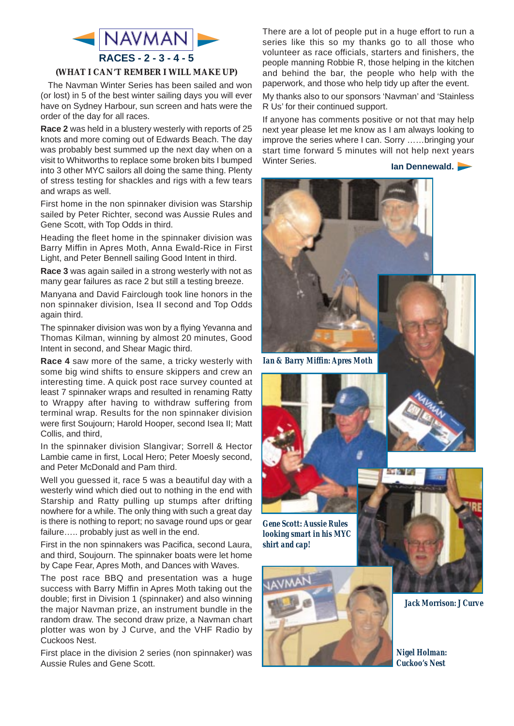

#### **(WHAT I CAN'T REMBER I WILL MAKE UP)**

The Navman Winter Series has been sailed and won (or lost) in 5 of the best winter sailing days you will ever have on Sydney Harbour, sun screen and hats were the order of the day for all races.

**Race 2** was held in a blustery westerly with reports of 25 knots and more coming out of Edwards Beach. The day was probably best summed up the next day when on a visit to Whitworths to replace some broken bits I bumped into 3 other MYC sailors all doing the same thing. Plenty of stress testing for shackles and rigs with a few tears and wraps as well.

First home in the non spinnaker division was Starship sailed by Peter Richter, second was Aussie Rules and Gene Scott, with Top Odds in third.

Heading the fleet home in the spinnaker division was Barry Miffin in Apres Moth, Anna Ewald-Rice in First Light, and Peter Bennell sailing Good Intent in third.

**Race 3** was again sailed in a strong westerly with not as many gear failures as race 2 but still a testing breeze.

Manyana and David Fairclough took line honors in the non spinnaker division, Isea II second and Top Odds again third.

The spinnaker division was won by a flying Yevanna and Thomas Kilman, winning by almost 20 minutes, Good Intent in second, and Shear Magic third.

**Race 4** saw more of the same, a tricky westerly with some big wind shifts to ensure skippers and crew an interesting time. A quick post race survey counted at least 7 spinnaker wraps and resulted in renaming Ratty to Wrappy after having to withdraw suffering from terminal wrap. Results for the non spinnaker division were first Soujourn; Harold Hooper, second Isea II; Matt Collis, and third,

In the spinnaker division Slangivar; Sorrell & Hector Lambie came in first, Local Hero; Peter Moesly second, and Peter McDonald and Pam third.

Well you guessed it, race 5 was a beautiful day with a westerly wind which died out to nothing in the end with Starship and Ratty pulling up stumps after drifting nowhere for a while. The only thing with such a great day is there is nothing to report; no savage round ups or gear failure….. probably just as well in the end.

First in the non spinnakers was Pacifica, second Laura, and third, Soujourn. The spinnaker boats were let home by Cape Fear, Apres Moth, and Dances with Waves.

The post race BBQ and presentation was a huge success with Barry Miffin in Apres Moth taking out the double; first in Division 1 (spinnaker) and also winning the major Navman prize, an instrument bundle in the random draw. The second draw prize, a Navman chart plotter was won by J Curve, and the VHF Radio by Cuckoos Nest.

First place in the division 2 series (non spinnaker) was Aussie Rules and Gene Scott.

There are a lot of people put in a huge effort to run a series like this so my thanks go to all those who volunteer as race officials, starters and finishers, the people manning Robbie R, those helping in the kitchen and behind the bar, the people who help with the paperwork, and those who help tidy up after the event.

My thanks also to our sponsors 'Navman' and 'Stainless R Us' for their continued support.

If anyone has comments positive or not that may help next year please let me know as I am always looking to improve the series where I can. Sorry ……bringing your start time forward 5 minutes will not help next years Winter Series. **Ian Dennewald.**